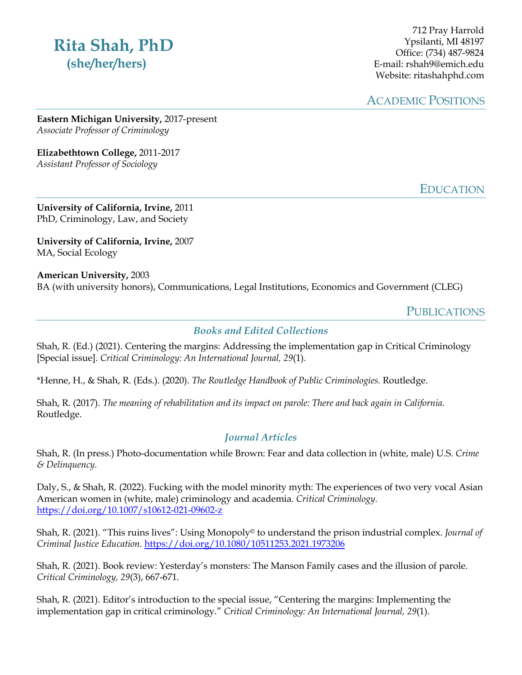# **Rita Shah, PhD (she/her/hers)**

712 Pray Harrold Ypsilanti, MI 48197 Office: (734) 487-9824 E-mail: rshah9@emich.edu Website: ritashahphd.com

ACADEMIC POSITIONS

**Eastern Michigan University,** 2017-present *Associate Professor of Criminology*

**Elizabethtown College,** 2011-2017 *Assistant Professor of Sociology*

EDUCATION

**University of California, Irvine,** 2011 PhD, Criminology, Law, and Society

**University of California, Irvine,** 2007 MA, Social Ecology

**American University,** 2003 BA (with university honors), Communications, Legal Institutions, Economics and Government (CLEG)

**PUBLICATIONS** 

#### *Books and Edited Collections*

Shah, R. (Ed.) (2021). Centering the margins: Addressing the implementation gap in Critical Criminology [Special issue]. *Critical Criminology: An International Journal, 29*(1)*.*

\*Henne, H., & Shah, R. (Eds.). (2020). *The Routledge Handbook of Public Criminologies.* Routledge.

Shah, R. (2017). *The meaning of rehabilitation and its impact on parole: There and back again in California*. Routledge.

## *Journal Articles*

Shah, R. (In press.) Photo-documentation while Brown: Fear and data collection in (white, male) U.S. *Crime & Delinquency.*

Daly, S., & Shah, R. (2022). Fucking with the model minority myth: The experiences of two very vocal Asian American women in (white, male) criminology and academia. *Critical Criminology.*  https://doi.org/10.1007/s10612-021-09602-z

Shah, R. (2021). "This ruins lives": Using Monopoly© to understand the prison industrial complex. *Journal of Criminal Justice Education.* https://doi.org/10.1080/10511253.2021.1973206

Shah, R. (2021). Book review: Yesterday's monsters: The Manson Family cases and the illusion of parole. *Critical Criminology, 29*(3), 667-671.

Shah, R. (2021). Editor's introduction to the special issue, "Centering the margins: Implementing the implementation gap in critical criminology." *Critical Criminology: An International Journal, 29*(1).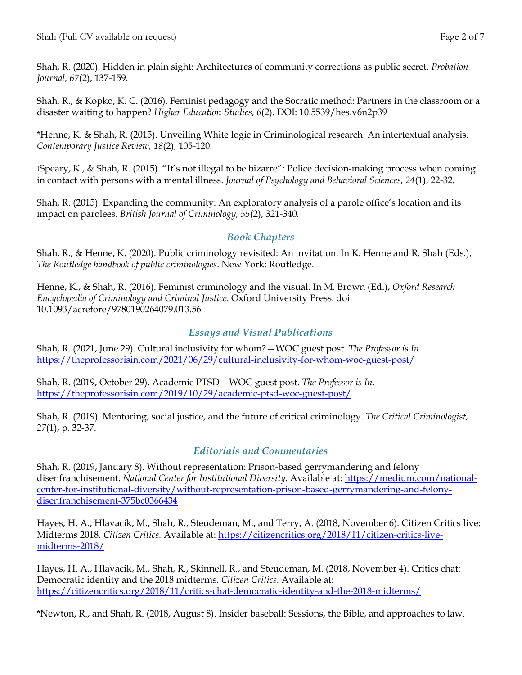Shah, R. (2020). Hidden in plain sight: Architectures of community corrections as public secret. *Probation Journal, 67*(2), 137-159.

Shah, R., & Kopko, K. C. (2016). Feminist pedagogy and the Socratic method: Partners in the classroom or a disaster waiting to happen? *Higher Education Studies, 6*(2). DOI: 10.5539/hes.v6n2p39

\*Henne, K. & Shah, R. (2015). Unveiling White logic in Criminological research: An intertextual analysis*. Contemporary Justice Review, 18*(2), 105-120.

†Speary, K., & Shah, R. (2015). "It's not illegal to be bizarre": Police decision-making process when coming in contact with persons with a mental illness. *Journal of Psychology and Behavioral Sciences, 24*(1), 22-32*.*

Shah, R. (2015). Expanding the community: An exploratory analysis of a parole office's location and its impact on parolees. *British Journal of Criminology, 55*(2), 321-340*.*

## *Book Chapters*

Shah, R., & Henne, K. (2020). Public criminology revisited: An invitation. In K. Henne and R. Shah (Eds.), *The Routledge handbook of public criminologies*. New York: Routledge.

Henne, K., & Shah, R. (2016). Feminist criminology and the visual. In M. Brown (Ed.), *Oxford Research Encyclopedia of Criminology and Criminal Justice.* Oxford University Press. doi: 10.1093/acrefore/9780190264079.013.56

## *Essays and Visual Publications*

Shah, R. (2021, June 29). Cultural inclusivity for whom?—WOC guest post. *The Professor is In.* https://theprofessorisin.com/2021/06/29/cultural-inclusivity-for-whom-woc-guest-post/

Shah, R. (2019, October 29). Academic PTSD—WOC guest post. *The Professor is In.* https://theprofessorisin.com/2019/10/29/academic-ptsd-woc-guest-post/

Shah, R. (2019). Mentoring, social justice, and the future of critical criminology. *The Critical Criminologist, 27*(1), p. 32-37.

## *Editorials and Commentaries*

Shah, R. (2019, January 8). Without representation: Prison-based gerrymandering and felony disenfranchisement. *National Center for Institutional Diversity.* Available at: https://medium.com/nationalcenter-for-institutional-diversity/without-representation-prison-based-gerrymandering-and-felonydisenfranchisement-375bc0366434

Hayes, H. A., Hlavacik, M., Shah, R., Steudeman, M., and Terry, A. (2018, November 6). Citizen Critics live: Midterms 2018. *Citizen Critics.* Available at: https://citizencritics.org/2018/11/citizen-critics-livemidterms-2018/

Hayes, H. A., Hlavacik, M., Shah, R., Skinnell, R., and Steudeman, M. (2018, November 4). Critics chat: Democratic identity and the 2018 midterms. *Citizen Critics.* Available at: https://citizencritics.org/2018/11/critics-chat-democratic-identity-and-the-2018-midterms/

\*Newton, R., and Shah, R. (2018, August 8). Insider baseball: Sessions, the Bible, and approaches to law.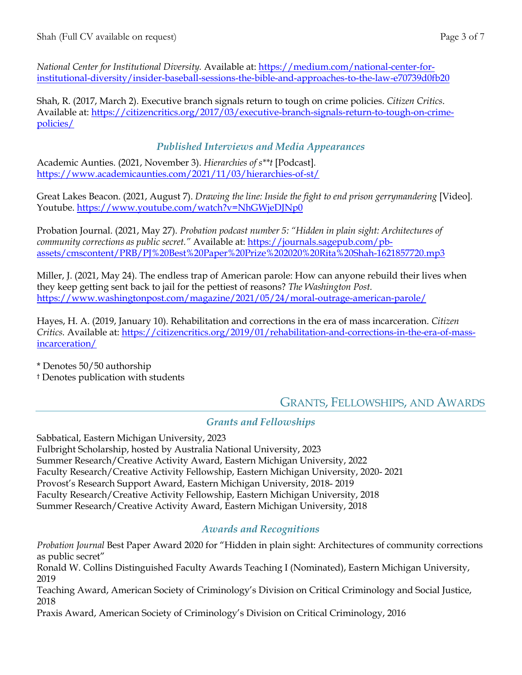*National Center for Institutional Diversity.* Available at: https://medium.com/national-center-forinstitutional-diversity/insider-baseball-sessions-the-bible-and-approaches-to-the-law-e70739d0fb20

Shah, R. (2017, March 2). Executive branch signals return to tough on crime policies. *Citizen Critics*. Available at: https://citizencritics.org/2017/03/executive-branch-signals-return-to-tough-on-crimepolicies/

## *Published Interviews and Media Appearances*

Academic Aunties. (2021, November 3). *Hierarchies of s\*\*t* [Podcast]*.* https://www.academicaunties.com/2021/11/03/hierarchies-of-st/

Great Lakes Beacon. (2021, August 7). *Drawing the line: Inside the fight to end prison gerrymandering* [Video]. Youtube. https://www.youtube.com/watch?v=NhGWjeDJNp0

Probation Journal. (2021, May 27). *Probation podcast number 5: "Hidden in plain sight: Architectures of community corrections as public secret."* Available at: https://journals.sagepub.com/pbassets/cmscontent/PRB/PJ%20Best%20Paper%20Prize%202020%20Rita%20Shah-1621857720.mp3

Miller, J. (2021, May 24). The endless trap of American parole: How can anyone rebuild their lives when they keep getting sent back to jail for the pettiest of reasons? *The Washington Post.* https://www.washingtonpost.com/magazine/2021/05/24/moral-outrage-american-parole/

Hayes, H. A. (2019, January 10). Rehabilitation and corrections in the era of mass incarceration. *Citizen Critics.* Available at: https://citizencritics.org/2019/01/rehabilitation-and-corrections-in-the-era-of-massincarceration/

\* Denotes 50/50 authorship

† Denotes publication with students

## GRANTS, FELLOWSHIPS, AND AWARDS

## *Grants and Fellowships*

Sabbatical, Eastern Michigan University, 2023 Fulbright Scholarship, hosted by Australia National University, 2023 Summer Research/Creative Activity Award, Eastern Michigan University, 2022 Faculty Research/Creative Activity Fellowship, Eastern Michigan University, 2020- 2021 Provost's Research Support Award, Eastern Michigan University, 2018- 2019 Faculty Research/Creative Activity Fellowship, Eastern Michigan University, 2018 Summer Research/Creative Activity Award, Eastern Michigan University, 2018

## *Awards and Recognitions*

*Probation Journal* Best Paper Award 2020 for "Hidden in plain sight: Architectures of community corrections as public secret"

Ronald W. Collins Distinguished Faculty Awards Teaching I (Nominated), Eastern Michigan University, 2019

Teaching Award, American Society of Criminology's Division on Critical Criminology and Social Justice, 2018

Praxis Award, American Society of Criminology's Division on Critical Criminology, 2016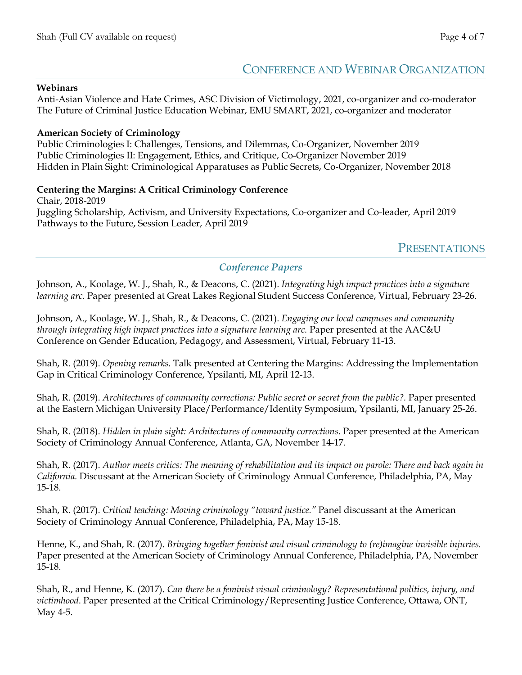## CONFERENCE AND WEBINAR ORGANIZATION

#### **Webinars**

Anti-Asian Violence and Hate Crimes, ASC Division of Victimology, 2021, co-organizer and co-moderator The Future of Criminal Justice Education Webinar, EMU SMART, 2021, co-organizer and moderator

#### **American Society of Criminology**

Public Criminologies I: Challenges, Tensions, and Dilemmas, Co-Organizer, November 2019 Public Criminologies II: Engagement, Ethics, and Critique, Co-Organizer November 2019 Hidden in Plain Sight: Criminological Apparatuses as Public Secrets, Co-Organizer, November 2018

#### **Centering the Margins: A Critical Criminology Conference**

Chair, 2018-2019 Juggling Scholarship, Activism, and University Expectations, Co-organizer and Co-leader, April 2019 Pathways to the Future, Session Leader, April 2019

## PRESENTATIONS

#### *Conference Papers*

Johnson, A., Koolage, W. J., Shah, R., & Deacons, C. (2021). *Integrating high impact practices into a signature learning arc.* Paper presented at Great Lakes Regional Student Success Conference, Virtual, February 23-26.

Johnson, A., Koolage, W. J., Shah, R., & Deacons, C. (2021). *Engaging our local campuses and community through integrating high impact practices into a signature learning arc.* Paper presented at the AAC&U Conference on Gender Education, Pedagogy, and Assessment, Virtual, February 11-13.

Shah, R. (2019). *Opening remarks.* Talk presented at Centering the Margins: Addressing the Implementation Gap in Critical Criminology Conference, Ypsilanti, MI, April 12-13.

Shah, R. (2019). *Architectures of community corrections: Public secret or secret from the public?*. Paper presented at the Eastern Michigan University Place/Performance/Identity Symposium, Ypsilanti, MI, January 25-26.

Shah, R. (2018). *Hidden in plain sight: Architectures of community corrections.* Paper presented at the American Society of Criminology Annual Conference, Atlanta, GA, November 14-17.

Shah, R. (2017). *Author meets critics: The meaning of rehabilitation and its impact on parole: There and back again in California.* Discussant at the American Society of Criminology Annual Conference, Philadelphia, PA, May 15-18.

Shah, R. (2017). *Critical teaching: Moving criminology "toward justice."* Panel discussant at the American Society of Criminology Annual Conference, Philadelphia, PA, May 15-18.

Henne, K., and Shah, R. (2017). *Bringing together feminist and visual criminology to (re)imagine invisible injuries.* Paper presented at the American Society of Criminology Annual Conference, Philadelphia, PA, November 15-18.

Shah, R., and Henne, K. (2017). *Can there be a feminist visual criminology? Representational politics, injury, and victimhood*. Paper presented at the Critical Criminology/Representing Justice Conference, Ottawa, ONT, May 4-5.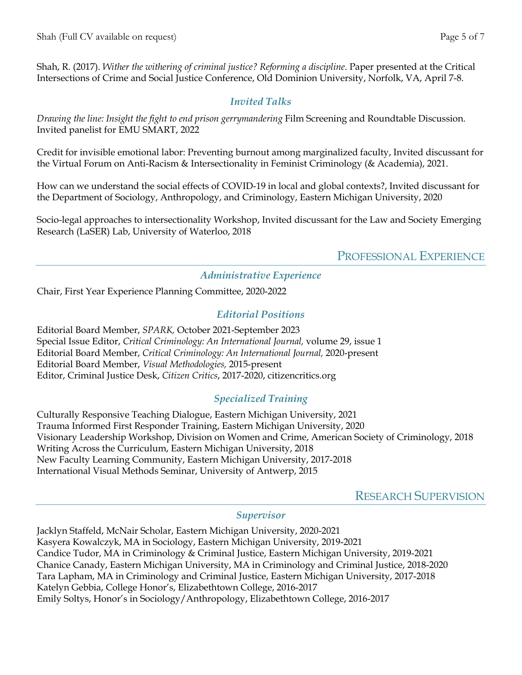Shah, R. (2017). *Wither the withering of criminal justice? Reforming a discipline*. Paper presented at the Critical Intersections of Crime and Social Justice Conference, Old Dominion University, Norfolk, VA, April 7-8.

## *Invited Talks*

*Drawing the line: Insight the fight to end prison gerrymandering* Film Screening and Roundtable Discussion. Invited panelist for EMU SMART, 2022

Credit for invisible emotional labor: Preventing burnout among marginalized faculty, Invited discussant for the Virtual Forum on Anti-Racism & Intersectionality in Feminist Criminology (& Academia), 2021.

How can we understand the social effects of COVID-19 in local and global contexts?, Invited discussant for the Department of Sociology, Anthropology, and Criminology, Eastern Michigan University, 2020

Socio-legal approaches to intersectionality Workshop, Invited discussant for the Law and Society Emerging Research (LaSER) Lab, University of Waterloo, 2018

PROFESSIONAL EXPERIENCE

## *Administrative Experience*

Chair, First Year Experience Planning Committee, 2020-2022

## *Editorial Positions*

Editorial Board Member, *SPARK,* October 2021-September 2023 Special Issue Editor, *Critical Criminology: An International Journal,* volume 29, issue 1 Editorial Board Member, *Critical Criminology: An International Journal,* 2020-present Editorial Board Member, *Visual Methodologies,* 2015-present Editor, Criminal Justice Desk, *Citizen Critics*, 2017-2020, citizencritics.org

## *Specialized Training*

Culturally Responsive Teaching Dialogue, Eastern Michigan University, 2021 Trauma Informed First Responder Training, Eastern Michigan University, 2020 Visionary Leadership Workshop, Division on Women and Crime, American Society of Criminology, 2018 Writing Across the Curriculum, Eastern Michigan University, 2018 New Faculty Learning Community, Eastern Michigan University, 2017-2018 International Visual Methods Seminar, University of Antwerp, 2015

RESEARCH SUPERVISION

#### *Supervisor*

Jacklyn Staffeld, McNair Scholar, Eastern Michigan University, 2020-2021 Kasyera Kowalczyk, MA in Sociology, Eastern Michigan University, 2019-2021 Candice Tudor, MA in Criminology & Criminal Justice, Eastern Michigan University, 2019-2021 Chanice Canady, Eastern Michigan University, MA in Criminology and Criminal Justice, 2018-2020 Tara Lapham, MA in Criminology and Criminal Justice, Eastern Michigan University, 2017-2018 Katelyn Gebbia, College Honor's, Elizabethtown College, 2016-2017 Emily Soltys, Honor's in Sociology/Anthropology, Elizabethtown College, 2016-2017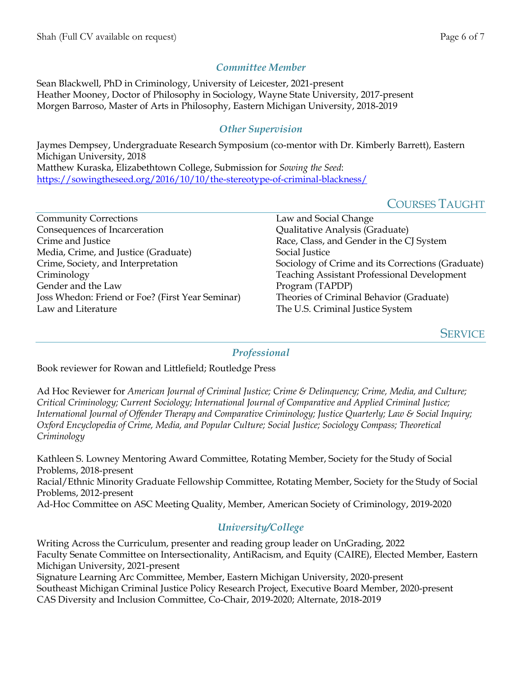## *Committee Member*

Sean Blackwell, PhD in Criminology, University of Leicester, 2021-present Heather Mooney, Doctor of Philosophy in Sociology, Wayne State University, 2017-present Morgen Barroso, Master of Arts in Philosophy, Eastern Michigan University, 2018-2019

## *Other Supervision*

Jaymes Dempsey, Undergraduate Research Symposium (co-mentor with Dr. Kimberly Barrett), Eastern Michigan University, 2018 Matthew Kuraska, Elizabethtown College, Submission for *Sowing the Seed*: https://sowingtheseed.org/2016/10/10/the-stereotype-of-criminal-blackness/

## COURSES TAUGHT

| <b>Community Corrections</b>                     | Law and Social Change                              |
|--------------------------------------------------|----------------------------------------------------|
| Consequences of Incarceration                    | Qualitative Analysis (Graduate)                    |
| Crime and Justice                                | Race, Class, and Gender in the CJ System           |
| Media, Crime, and Justice (Graduate)             | Social Justice                                     |
| Crime, Society, and Interpretation               | Sociology of Crime and its Corrections (Graduate)  |
| Criminology                                      | <b>Teaching Assistant Professional Development</b> |
| Gender and the Law                               | Program (TAPDP)                                    |
| Joss Whedon: Friend or Foe? (First Year Seminar) | Theories of Criminal Behavior (Graduate)           |
| Law and Literature                               | The U.S. Criminal Justice System                   |

**SERVICE** 

#### *Professional*

Book reviewer for Rowan and Littlefield; Routledge Press

Ad Hoc Reviewer for *American Journal of Criminal Justice; Crime & Delinquency; Crime, Media, and Culture; Critical Criminology; Current Sociology; International Journal of Comparative and Applied Criminal Justice; International Journal of Offender Therapy and Comparative Criminology; Justice Quarterly; Law & Social Inquiry; Oxford Encyclopedia of Crime, Media, and Popular Culture; Social Justice; Sociology Compass; Theoretical Criminology*

Kathleen S. Lowney Mentoring Award Committee, Rotating Member, Society for the Study of Social Problems, 2018-present Racial/Ethnic Minority Graduate Fellowship Committee, Rotating Member, Society for the Study of Social Problems, 2012-present Ad-Hoc Committee on ASC Meeting Quality, Member, American Society of Criminology, 2019-2020

## *University/College*

Writing Across the Curriculum, presenter and reading group leader on UnGrading, 2022 Faculty Senate Committee on Intersectionality, AntiRacism, and Equity (CAIRE), Elected Member, Eastern Michigan University, 2021-present Signature Learning Arc Committee, Member, Eastern Michigan University, 2020-present Southeast Michigan Criminal Justice Policy Research Project, Executive Board Member, 2020-present CAS Diversity and Inclusion Committee, Co-Chair, 2019-2020; Alternate, 2018-2019